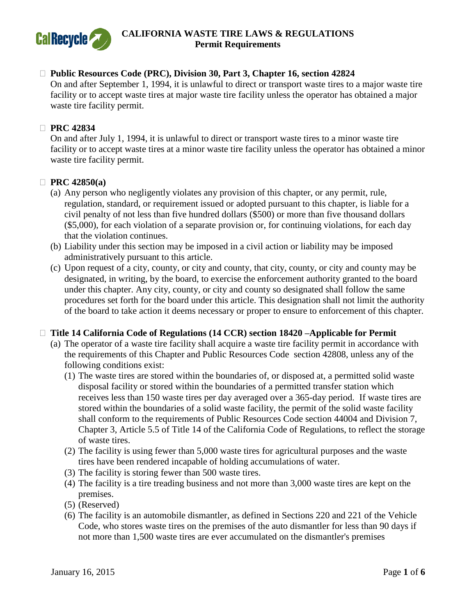

#### **Public Resources Code (PRC), Division 30, Part 3, Chapter 16, section 42824**

On and after September 1, 1994, it is unlawful to direct or transport waste tires to a major waste tire facility or to accept waste tires at major waste tire facility unless the operator has obtained a major waste tire facility permit.

#### **PRC 42834**

On and after July 1, 1994, it is unlawful to direct or transport waste tires to a minor waste tire facility or to accept waste tires at a minor waste tire facility unless the operator has obtained a minor waste tire facility permit.

#### **PRC 42850(a)**

- (a) Any person who negligently violates any provision of this chapter, or any permit, rule, regulation, standard, or requirement issued or adopted pursuant to this chapter, is liable for a civil penalty of not less than five hundred dollars (\$500) or more than five thousand dollars (\$5,000), for each violation of a separate provision or, for continuing violations, for each day that the violation continues.
- (b) Liability under this section may be imposed in a civil action or liability may be imposed administratively pursuant to this article.
- (c) Upon request of a city, county, or city and county, that city, county, or city and county may be designated, in writing, by the board, to exercise the enforcement authority granted to the board under this chapter. Any city, county, or city and county so designated shall follow the same procedures set forth for the board under this article. This designation shall not limit the authority of the board to take action it deems necessary or proper to ensure to enforcement of this chapter.

#### □ Title 14 California Code of Regulations (14 CCR) section 18420 –Applicable for Permit

- (a) The operator of a waste tire facility shall acquire a waste tire facility permit in accordance with the requirements of this Chapter and Public Resources Code section 42808, unless any of the following conditions exist:
	- (1) The waste tires are stored within the boundaries of, or disposed at, a permitted solid waste disposal facility or stored within the boundaries of a permitted transfer station which receives less than 150 waste tires per day averaged over a 365-day period. If waste tires are stored within the boundaries of a solid waste facility, the permit of the solid waste facility shall conform to the requirements of Public Resources Code section 44004 and Division 7, Chapter 3, Article 5.5 of Title 14 of the California Code of Regulations, to reflect the storage of waste tires.
	- (2) The facility is using fewer than 5,000 waste tires for agricultural purposes and the waste tires have been rendered incapable of holding accumulations of water.
	- (3) The facility is storing fewer than 500 waste tires.
	- (4) The facility is a tire treading business and not more than 3,000 waste tires are kept on the premises.
	- (5) (Reserved)
	- (6) The facility is an automobile dismantler, as defined in Sections 220 and 221 of the Vehicle Code, who stores waste tires on the premises of the auto dismantler for less than 90 days if not more than 1,500 waste tires are ever accumulated on the dismantler's premises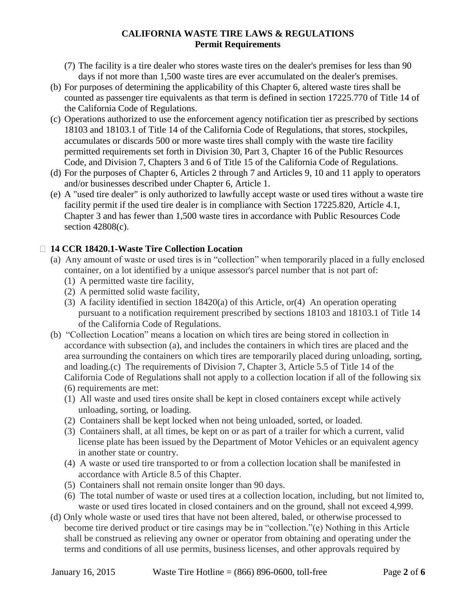- (7) The facility is a tire dealer who stores waste tires on the dealer's premises for less than 90 days if not more than 1,500 waste tires are ever accumulated on the dealer's premises.
- (b) For purposes of determining the applicability of this Chapter 6, altered waste tires shall be counted as passenger tire equivalents as that term is defined in section 17225.770 of Title 14 of the California Code of Regulations.
- (c) Operations authorized to use the enforcement agency notification tier as prescribed by sections 18103 and 18103.1 of Title 14 of the California Code of Regulations, that stores, stockpiles, accumulates or discards 500 or more waste tires shall comply with the waste tire facility permitted requirements set forth in Division 30, Part 3, Chapter 16 of the Public Resources Code, and Division 7, Chapters 3 and 6 of Title 15 of the California Code of Regulations.
- (d) For the purposes of Chapter 6, Articles 2 through 7 and Articles 9, 10 and 11 apply to operators and/or businesses described under Chapter 6, Article 1.
- (e) A "used tire dealer" is only authorized to lawfully accept waste or used tires without a waste tire facility permit if the used tire dealer is in compliance with Section 17225.820, Article 4.1, Chapter 3 and has fewer than 1,500 waste tires in accordance with Public Resources Code section 42808(c).

# **14 CCR 18420.1-Waste Tire Collection Location**

- (a) Any amount of waste or used tires is in "collection" when temporarily placed in a fully enclosed container, on a lot identified by a unique assessor's parcel number that is not part of:
	- (1) A permitted waste tire facility,
	- (2) A permitted solid waste facility,
	- (3) A facility identified in section 18420(a) of this Article, or(4) An operation operating pursuant to a notification requirement prescribed by sections 18103 and 18103.1 of Title 14 of the California Code of Regulations.
- (b) "Collection Location" means a location on which tires are being stored in collection in accordance with subsection (a), and includes the containers in which tires are placed and the area surrounding the containers on which tires are temporarily placed during unloading, sorting, and loading.(c) The requirements of Division 7, Chapter 3, Article 5.5 of Title 14 of the California Code of Regulations shall not apply to a collection location if all of the following six (6) requirements are met:
	- (1) All waste and used tires onsite shall be kept in closed containers except while actively unloading, sorting, or loading.
	- (2) Containers shall be kept locked when not being unloaded, sorted, or loaded.
	- (3) Containers shall, at all times, be kept on or as part of a trailer for which a current, valid license plate has been issued by the Department of Motor Vehicles or an equivalent agency in another state or country.
	- (4) A waste or used tire transported to or from a collection location shall be manifested in accordance with Article 8.5 of this Chapter.
	- (5) Containers shall not remain onsite longer than 90 days.
	- (6) The total number of waste or used tires at a collection location, including, but not limited to, waste or used tires located in closed containers and on the ground, shall not exceed 4,999.
- (d) Only whole waste or used tires that have not been altered, baled, or otherwise processed to become tire derived product or tire casings may be in "collection."(e) Nothing in this Article shall be construed as relieving any owner or operator from obtaining and operating under the terms and conditions of all use permits, business licenses, and other approvals required by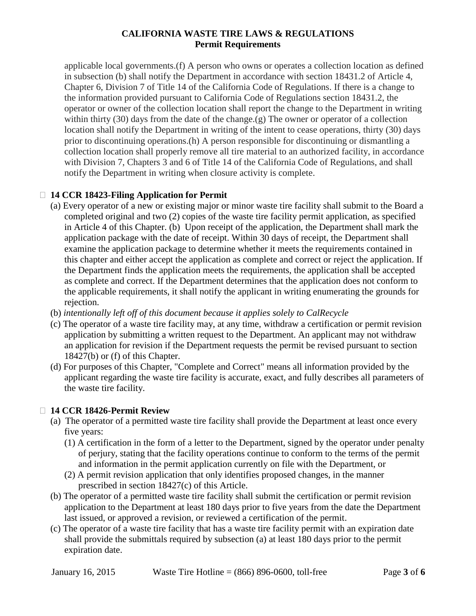applicable local governments.(f) A person who owns or operates a collection location as defined in subsection (b) shall notify the Department in accordance with section 18431.2 of Article 4, Chapter 6, Division 7 of Title 14 of the California Code of Regulations. If there is a change to the information provided pursuant to California Code of Regulations section 18431.2, the operator or owner of the collection location shall report the change to the Department in writing within thirty (30) days from the date of the change.(g) The owner or operator of a collection location shall notify the Department in writing of the intent to cease operations, thirty (30) days prior to discontinuing operations.(h) A person responsible for discontinuing or dismantling a collection location shall properly remove all tire material to an authorized facility, in accordance with Division 7, Chapters 3 and 6 of Title 14 of the California Code of Regulations, and shall notify the Department in writing when closure activity is complete.

# **14 CCR 18423-Filing Application for Permit**

- (a) Every operator of a new or existing major or minor waste tire facility shall submit to the Board a completed original and two (2) copies of the waste tire facility permit application, as specified in Article 4 of this Chapter. (b) Upon receipt of the application, the Department shall mark the application package with the date of receipt. Within 30 days of receipt, the Department shall examine the application package to determine whether it meets the requirements contained in this chapter and either accept the application as complete and correct or reject the application. If the Department finds the application meets the requirements, the application shall be accepted as complete and correct. If the Department determines that the application does not conform to the applicable requirements, it shall notify the applicant in writing enumerating the grounds for rejection.
- (b) *intentionally left off of this document because it applies solely to CalRecycle*
- (c) The operator of a waste tire facility may, at any time, withdraw a certification or permit revision application by submitting a written request to the Department. An applicant may not withdraw an application for revision if the Department requests the permit be revised pursuant to section 18427(b) or (f) of this Chapter.
- (d) For purposes of this Chapter, "Complete and Correct" means all information provided by the applicant regarding the waste tire facility is accurate, exact, and fully describes all parameters of the waste tire facility.

## **14 CCR 18426-Permit Review**

- (a) The operator of a permitted waste tire facility shall provide the Department at least once every five years:
	- (1) A certification in the form of a letter to the Department, signed by the operator under penalty of perjury, stating that the facility operations continue to conform to the terms of the permit and information in the permit application currently on file with the Department, or
	- (2) A permit revision application that only identifies proposed changes, in the manner prescribed in section 18427(c) of this Article.
- (b) The operator of a permitted waste tire facility shall submit the certification or permit revision application to the Department at least 180 days prior to five years from the date the Department last issued, or approved a revision, or reviewed a certification of the permit.
- (c) The operator of a waste tire facility that has a waste tire facility permit with an expiration date shall provide the submittals required by subsection (a) at least 180 days prior to the permit expiration date.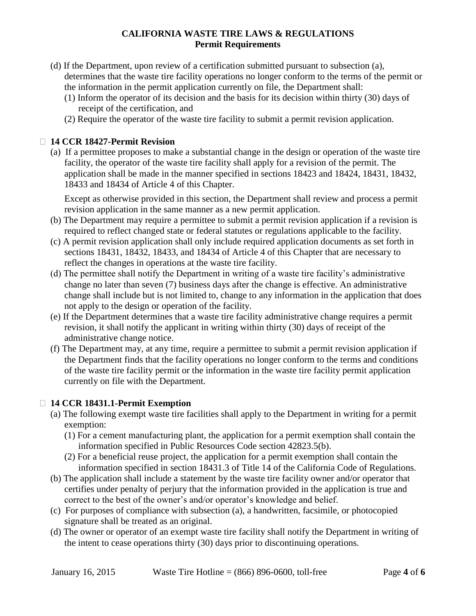- (d) If the Department, upon review of a certification submitted pursuant to subsection (a), determines that the waste tire facility operations no longer conform to the terms of the permit or the information in the permit application currently on file, the Department shall:
	- (1) Inform the operator of its decision and the basis for its decision within thirty (30) days of receipt of the certification, and
	- (2) Require the operator of the waste tire facility to submit a permit revision application.

# **14 CCR 18427-Permit Revision**

(a) If a permittee proposes to make a substantial change in the design or operation of the waste tire facility, the operator of the waste tire facility shall apply for a revision of the permit. The application shall be made in the manner specified in sections 18423 and 18424, 18431, 18432, 18433 and 18434 of Article 4 of this Chapter.

Except as otherwise provided in this section, the Department shall review and process a permit revision application in the same manner as a new permit application.

- (b) The Department may require a permittee to submit a permit revision application if a revision is required to reflect changed state or federal statutes or regulations applicable to the facility.
- (c) A permit revision application shall only include required application documents as set forth in sections 18431, 18432, 18433, and 18434 of Article 4 of this Chapter that are necessary to reflect the changes in operations at the waste tire facility.
- (d) The permittee shall notify the Department in writing of a waste tire facility's administrative change no later than seven (7) business days after the change is effective. An administrative change shall include but is not limited to, change to any information in the application that does not apply to the design or operation of the facility.
- (e) If the Department determines that a waste tire facility administrative change requires a permit revision, it shall notify the applicant in writing within thirty (30) days of receipt of the administrative change notice.
- (f) The Department may, at any time, require a permittee to submit a permit revision application if the Department finds that the facility operations no longer conform to the terms and conditions of the waste tire facility permit or the information in the waste tire facility permit application currently on file with the Department.

## **14 CCR 18431.1-Permit Exemption**

- (a) The following exempt waste tire facilities shall apply to the Department in writing for a permit exemption:
	- (1) For a cement manufacturing plant, the application for a permit exemption shall contain the information specified in Public Resources Code section 42823.5(b).
	- (2) For a beneficial reuse project, the application for a permit exemption shall contain the information specified in section 18431.3 of Title 14 of the California Code of Regulations.
- (b) The application shall include a statement by the waste tire facility owner and/or operator that certifies under penalty of perjury that the information provided in the application is true and correct to the best of the owner's and/or operator's knowledge and belief.
- (c) For purposes of compliance with subsection (a), a handwritten, facsimile, or photocopied signature shall be treated as an original.
- (d) The owner or operator of an exempt waste tire facility shall notify the Department in writing of the intent to cease operations thirty (30) days prior to discontinuing operations.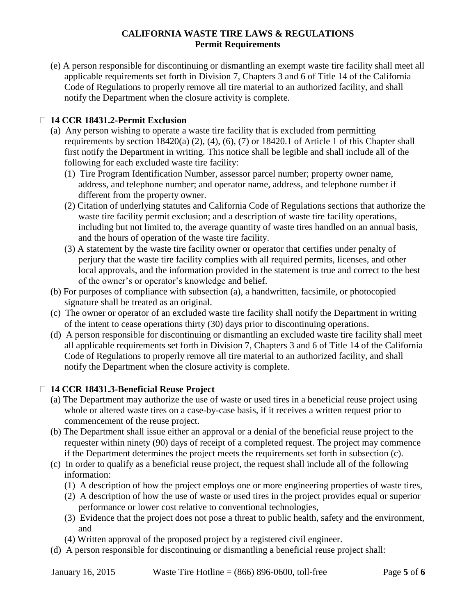(e) A person responsible for discontinuing or dismantling an exempt waste tire facility shall meet all applicable requirements set forth in Division 7, Chapters 3 and 6 of Title 14 of the California Code of Regulations to properly remove all tire material to an authorized facility, and shall notify the Department when the closure activity is complete.

# **14 CCR 18431.2-Permit Exclusion**

- (a) Any person wishing to operate a waste tire facility that is excluded from permitting requirements by section 18420(a) (2), (4), (6), (7) or 18420.1 of Article 1 of this Chapter shall first notify the Department in writing. This notice shall be legible and shall include all of the following for each excluded waste tire facility:
	- (1) Tire Program Identification Number, assessor parcel number; property owner name, address, and telephone number; and operator name, address, and telephone number if different from the property owner.
	- (2) Citation of underlying statutes and California Code of Regulations sections that authorize the waste tire facility permit exclusion; and a description of waste tire facility operations, including but not limited to, the average quantity of waste tires handled on an annual basis, and the hours of operation of the waste tire facility.
	- (3) A statement by the waste tire facility owner or operator that certifies under penalty of perjury that the waste tire facility complies with all required permits, licenses, and other local approvals, and the information provided in the statement is true and correct to the best of the owner's or operator's knowledge and belief.
- (b) For purposes of compliance with subsection (a), a handwritten, facsimile, or photocopied signature shall be treated as an original.
- (c) The owner or operator of an excluded waste tire facility shall notify the Department in writing of the intent to cease operations thirty (30) days prior to discontinuing operations.
- (d) A person responsible for discontinuing or dismantling an excluded waste tire facility shall meet all applicable requirements set forth in Division 7, Chapters 3 and 6 of Title 14 of the California Code of Regulations to properly remove all tire material to an authorized facility, and shall notify the Department when the closure activity is complete.

## **14 CCR 18431.3-Beneficial Reuse Project**

- (a) The Department may authorize the use of waste or used tires in a beneficial reuse project using whole or altered waste tires on a case-by-case basis, if it receives a written request prior to commencement of the reuse project.
- (b) The Department shall issue either an approval or a denial of the beneficial reuse project to the requester within ninety (90) days of receipt of a completed request. The project may commence if the Department determines the project meets the requirements set forth in subsection (c).
- (c) In order to qualify as a beneficial reuse project, the request shall include all of the following information:
	- (1) A description of how the project employs one or more engineering properties of waste tires,
	- (2) A description of how the use of waste or used tires in the project provides equal or superior performance or lower cost relative to conventional technologies,
	- (3) Evidence that the project does not pose a threat to public health, safety and the environment, and
	- (4) Written approval of the proposed project by a registered civil engineer.
- (d) A person responsible for discontinuing or dismantling a beneficial reuse project shall: